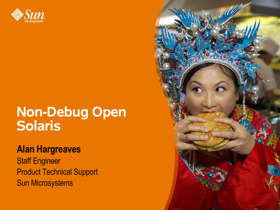

### **Non-Debug Open Solaris**

#### **Alan Hargreaves**

Staff Engineer Product Technical Support Sun Microsystems

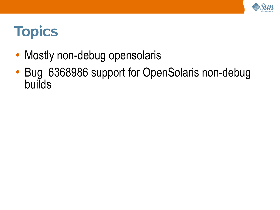

# **Topics**

- Mostly non-debug opensolaris
- Bug 6368986 support for OpenSolaris non-debug builds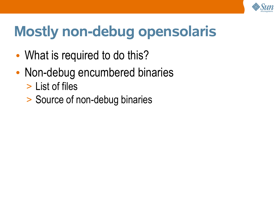

# **Mostly non-debug opensolaris**

- What is required to do this?
- Non-debug encumbered binaries
	- > List of files
	- > Source of non-debug binaries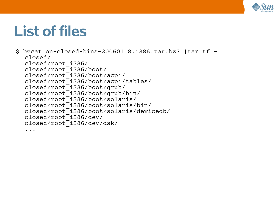

## **List of files**

 $$$  bzcat on-closed-bins-20060118.i386.tar.bz2 |tar tf closed/ closed/root\_i386/ closed/root\_i386/boot/ closed/root\_i386/boot/acpi/ closed/root\_i386/boot/acpi/tables/ closed/root\_i386/boot/grub/ closed/root\_i386/boot/grub/bin/ closed/root\_i386/boot/solaris/ closed/root\_i386/boot/solaris/bin/ closed/root\_i386/boot/solaris/devicedb/ closed/root\_i386/dev/ closed/root\_i386/dev/dsk/ ...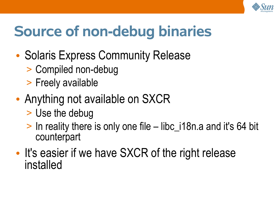

# **Source of non-debug binaries**

- Solaris Express Community Release
	- > Compiled non-debug
	- > Freely available
- Anything not available on SXCR
	- > Use the debug
	- > In reality there is only one file libc\_i18n.a and it's 64 bit counterpart
- It's easier if we have SXCR of the right release installed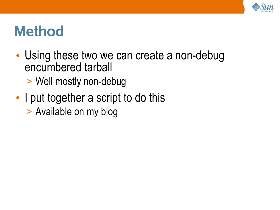

## **Method**

- Using these two we can create a non-debug encumbered tarball
	- > Well mostly non-debug
- I put together a script to do this > Available on my blog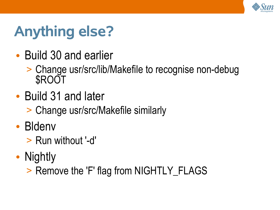

# **Anything else?**

- Build 30 and earlier
	- > Change usr/src/lib/Makefile to recognise non-debug **SROOT**
- Build 31 and later
	- > Change usr/src/Makefile similarly
- Bldenv
	- > Run without '-d'
- Nightly

> Remove the 'F' flag from NIGHTLY\_FLAGS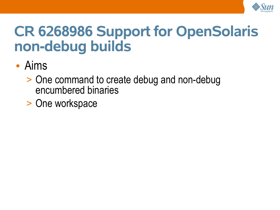

## **CR 6268986 Support for OpenSolaris non-debug builds**

### • Aims

- > One command to create debug and non-debug encumbered binaries
- > One workspace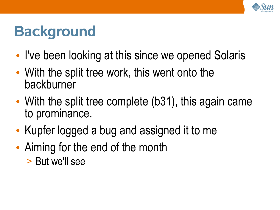

# **Background**

- I've been looking at this since we opened Solaris
- With the split tree work, this went onto the backburner
- With the split tree complete (b31), this again came to prominance.
- Kupfer logged a bug and assigned it to me
- Aiming for the end of the month > But we'll see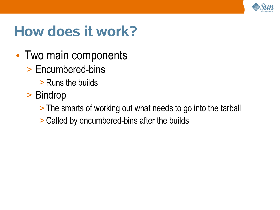

# **How does it work?**

- Two main components
	- > Encumbered-bins
		- > Runs the builds
	- > Bindrop
		- > The smarts of working out what needs to go into the tarball
		- > Called by encumbered-bins after the builds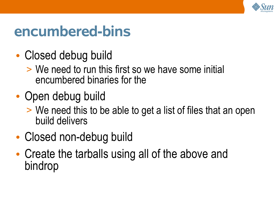

### **encumbered-bins**

- Closed debug build
	- > We need to run this first so we have some initial encumbered binaries for the
- Open debug build
	- > We need this to be able to get a list of files that an open build delivers
- Closed non-debug build
- Create the tarballs using all of the above and bindrop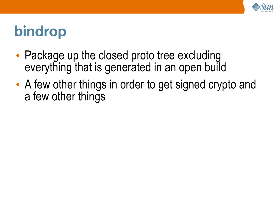

# **bindrop**

- Package up the closed proto tree excluding everything that is generated in an open build
- A few other things in order to get signed crypto and a few other things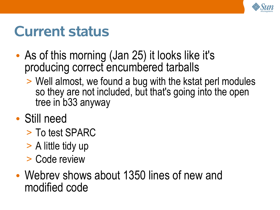

### **Current status**

- As of this morning (Jan 25) it looks like it's producing correct encumbered tarballs
	- > Well almost, we found a bug with the kstat perl modules so they are not included, but that's going into the open tree in b33 anyway
- Still need
	- > To test SPARC
	- > A little tidy up
	- > Code review
- Webrev shows about 1350 lines of new and modified code